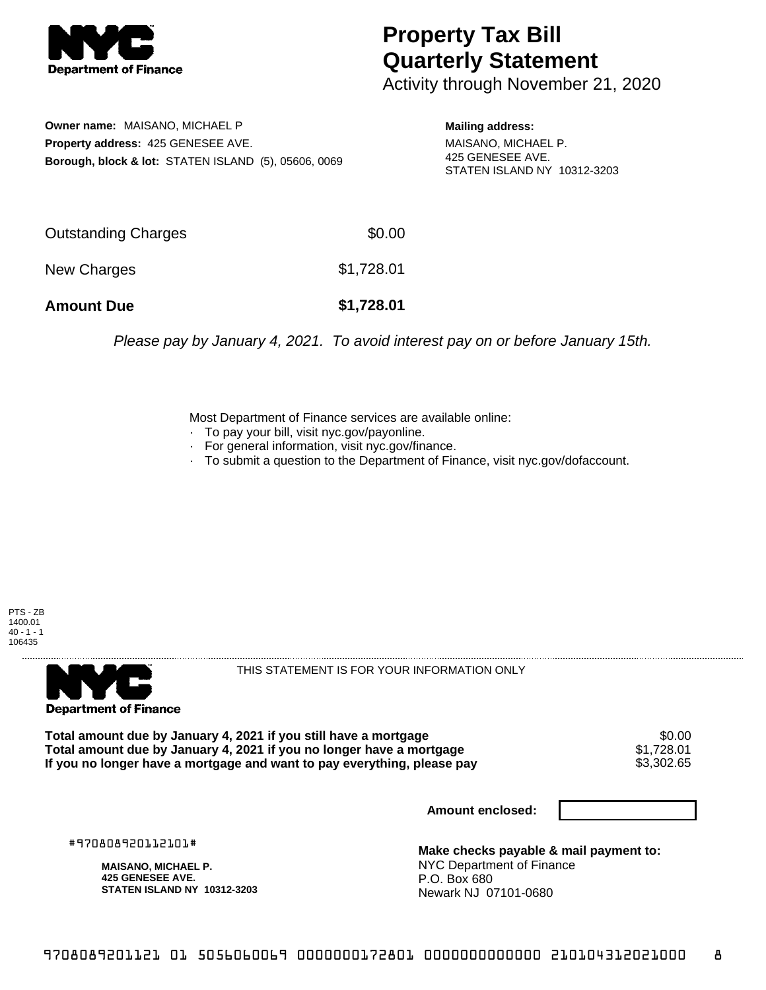

## **Property Tax Bill Quarterly Statement**

Activity through November 21, 2020

**Owner name:** MAISANO, MICHAEL P **Property address:** 425 GENESEE AVE. **Borough, block & lot:** STATEN ISLAND (5), 05606, 0069 **Mailing address:**

MAISANO, MICHAEL P. 425 GENESEE AVE. STATEN ISLAND NY 10312-3203

| <b>Amount Due</b>   | \$1,728.01 |
|---------------------|------------|
| New Charges         | \$1,728.01 |
| Outstanding Charges | \$0.00     |

Please pay by January 4, 2021. To avoid interest pay on or before January 15th.

Most Department of Finance services are available online:

- · To pay your bill, visit nyc.gov/payonline.
- For general information, visit nyc.gov/finance.
- · To submit a question to the Department of Finance, visit nyc.gov/dofaccount.

PTS - ZB 1400.01  $40 - 1 - 1$ 106435



THIS STATEMENT IS FOR YOUR INFORMATION ONLY

Total amount due by January 4, 2021 if you still have a mortgage \$0.00<br>Total amount due by January 4, 2021 if you no longer have a mortgage \$1.728.01 **Total amount due by January 4, 2021 if you no longer have a mortgage**  $$1,728.01$ **<br>If you no longer have a mortgage and want to pay everything, please pay**  $$3,302.65$ If you no longer have a mortgage and want to pay everything, please pay

**Amount enclosed:**

#970808920112101#

**MAISANO, MICHAEL P. 425 GENESEE AVE. STATEN ISLAND NY 10312-3203**

**Make checks payable & mail payment to:** NYC Department of Finance P.O. Box 680 Newark NJ 07101-0680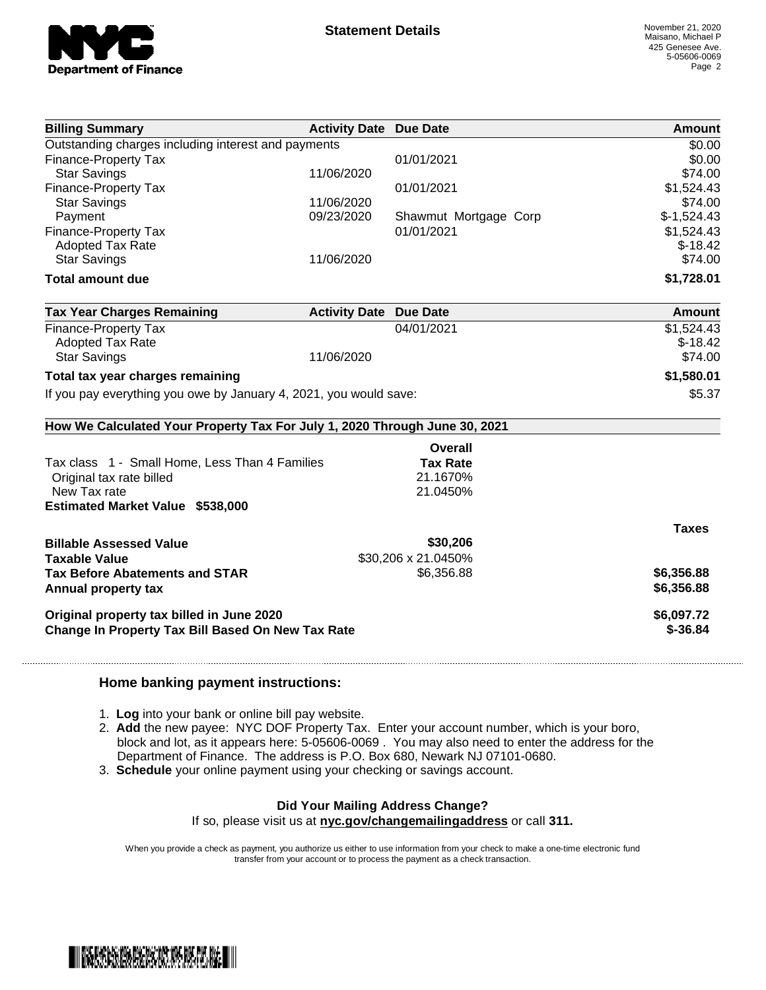

|                                                                            | <b>Activity Date Due Date</b> |                       | <b>Amount</b> |
|----------------------------------------------------------------------------|-------------------------------|-----------------------|---------------|
| Outstanding charges including interest and payments                        |                               |                       | \$0.00        |
| <b>Finance-Property Tax</b>                                                |                               | 01/01/2021            | \$0.00        |
| <b>Star Savings</b>                                                        | 11/06/2020                    |                       | \$74.00       |
| <b>Finance-Property Tax</b>                                                |                               | 01/01/2021            | \$1,524.43    |
| <b>Star Savings</b>                                                        | 11/06/2020                    |                       | \$74.00       |
| Payment                                                                    | 09/23/2020                    | Shawmut Mortgage Corp | $$-1,524.43$  |
| Finance-Property Tax                                                       |                               | 01/01/2021            | \$1,524.43    |
| <b>Adopted Tax Rate</b>                                                    |                               |                       | $$-18.42$     |
| <b>Star Savings</b>                                                        | 11/06/2020                    |                       | \$74.00       |
| <b>Total amount due</b>                                                    |                               |                       | \$1,728.01    |
| <b>Tax Year Charges Remaining</b>                                          | <b>Activity Date Due Date</b> |                       | Amount        |
| <b>Finance-Property Tax</b>                                                |                               | 04/01/2021            | \$1,524.43    |
| <b>Adopted Tax Rate</b>                                                    |                               |                       | $$-18.42$     |
| <b>Star Savings</b>                                                        | 11/06/2020                    |                       | \$74.00       |
| Total tax year charges remaining                                           |                               |                       | \$1,580.01    |
| If you pay everything you owe by January 4, 2021, you would save:          |                               |                       | \$5.37        |
|                                                                            |                               |                       |               |
| How We Calculated Your Property Tax For July 1, 2020 Through June 30, 2021 |                               |                       |               |
|                                                                            |                               | Overall               |               |
| Tax class 1 - Small Home, Less Than 4 Families                             |                               | <b>Tax Rate</b>       |               |
| Original tax rate billed                                                   |                               | 21.1670%              |               |
| New Tax rate                                                               |                               | 21.0450%              |               |
| <b>Estimated Market Value \$538,000</b>                                    |                               |                       |               |
|                                                                            |                               |                       |               |
|                                                                            |                               |                       | <b>Taxes</b>  |
| <b>Billable Assessed Value</b>                                             |                               | \$30,206              |               |
| <b>Taxable Value</b>                                                       |                               | \$30,206 x 21.0450%   |               |
| <b>Tax Before Abatements and STAR</b>                                      |                               | \$6,356.88            | \$6,356.88    |
| Annual property tax                                                        |                               |                       | \$6,356.88    |
| Original property tax billed in June 2020                                  |                               |                       | \$6,097.72    |

## **Home banking payment instructions:**

- 1. **Log** into your bank or online bill pay website.
- 2. **Add** the new payee: NYC DOF Property Tax. Enter your account number, which is your boro, block and lot, as it appears here: 5-05606-0069 . You may also need to enter the address for the Department of Finance. The address is P.O. Box 680, Newark NJ 07101-0680.
- 3. **Schedule** your online payment using your checking or savings account.

## **Did Your Mailing Address Change?**

If so, please visit us at **nyc.gov/changemailingaddress** or call **311.**

When you provide a check as payment, you authorize us either to use information from your check to make a one-time electronic fund transfer from your account or to process the payment as a check transaction.